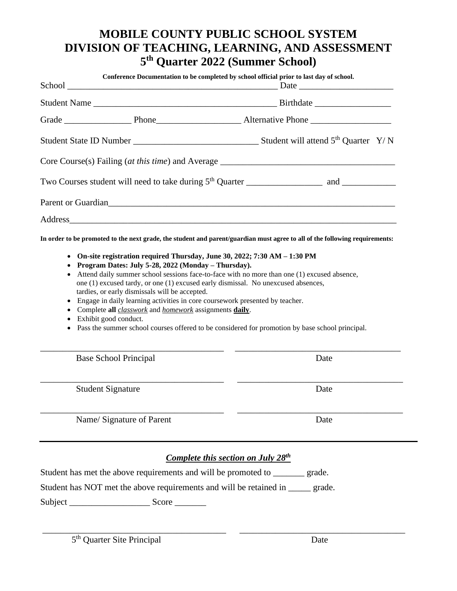|           | Conference Documentation to be completed by school official prior to last day of school.                                                                                         |                                                                                                                             |  |
|-----------|----------------------------------------------------------------------------------------------------------------------------------------------------------------------------------|-----------------------------------------------------------------------------------------------------------------------------|--|
|           |                                                                                                                                                                                  |                                                                                                                             |  |
|           |                                                                                                                                                                                  |                                                                                                                             |  |
|           |                                                                                                                                                                                  |                                                                                                                             |  |
|           |                                                                                                                                                                                  |                                                                                                                             |  |
|           |                                                                                                                                                                                  |                                                                                                                             |  |
|           |                                                                                                                                                                                  |                                                                                                                             |  |
|           | Parent or Guardian<br><u>Example 2014</u>                                                                                                                                        |                                                                                                                             |  |
|           |                                                                                                                                                                                  |                                                                                                                             |  |
|           |                                                                                                                                                                                  | In order to be promoted to the next grade, the student and parent/guardian must agree to all of the following requirements: |  |
| $\bullet$ | On-site registration required Thursday, June 30, 2022; 7:30 AM – 1:30 PM                                                                                                         |                                                                                                                             |  |
| $\bullet$ | Program Dates: July 5-28, 2022 (Monday – Thursday).                                                                                                                              |                                                                                                                             |  |
| $\bullet$ | Attend daily summer school sessions face-to-face with no more than one (1) excused absence,<br>one (1) excused tardy, or one (1) excused early dismissal. No unexcused absences, |                                                                                                                             |  |
|           | tardies, or early dismissals will be accepted.                                                                                                                                   |                                                                                                                             |  |

- Engage in daily learning activities in core coursework presented by teacher.
- Complete **all** *classwork* and *homework* assignments **daily**.
- Exhibit good conduct.
- Pass the summer school courses offered to be considered for promotion by base school principal.

| <b>Base School Principal</b> | Date |
|------------------------------|------|
| <b>Student Signature</b>     | Date |
| Name/Signature of Parent     | Date |

### *Complete this section on July 28 th*

\_\_\_\_\_\_\_\_\_\_\_\_\_\_\_\_\_\_\_\_\_\_\_\_\_\_\_\_\_\_\_\_\_\_\_\_\_\_\_\_\_ \_\_\_\_\_\_\_\_\_\_\_\_\_\_\_\_\_\_\_\_\_\_\_\_\_\_\_\_\_\_\_\_\_\_\_\_\_

Student has met the above requirements and will be promoted to \_\_\_\_\_\_\_ grade.

Student has NOT met the above requirements and will be retained in \_\_\_\_\_ grade.

Subject \_\_\_\_\_\_\_\_\_\_\_\_\_\_\_\_\_\_ Score \_\_\_\_\_\_\_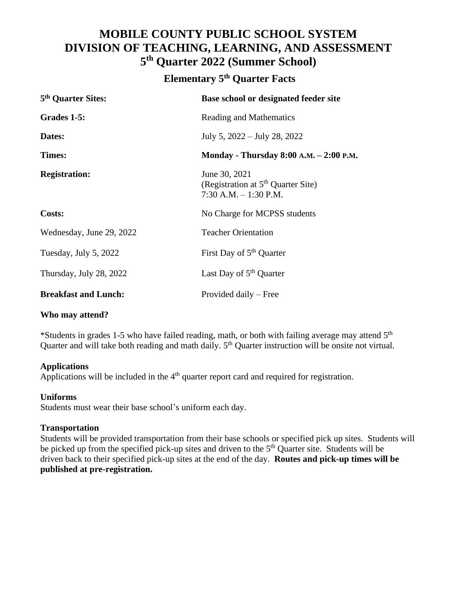### **Elementary 5 th Quarter Facts**

| 5 <sup>th</sup> Quarter Sites: | Base school or designated feeder site                                                       |
|--------------------------------|---------------------------------------------------------------------------------------------|
| Grades 1-5:                    | Reading and Mathematics                                                                     |
| Dates:                         | July 5, 2022 – July 28, 2022                                                                |
| Times:                         | Monday - Thursday 8:00 A.M. - 2:00 P.M.                                                     |
| <b>Registration:</b>           | June 30, 2021<br>(Registration at 5 <sup>th</sup> Quarter Site)<br>$7:30$ A.M. $-1:30$ P.M. |
| Costs:                         | No Charge for MCPSS students                                                                |
| Wednesday, June 29, 2022       | <b>Teacher Orientation</b>                                                                  |
| Tuesday, July 5, 2022          | First Day of 5 <sup>th</sup> Quarter                                                        |
| Thursday, July 28, 2022        | Last Day of $5th$ Quarter                                                                   |
| <b>Breakfast and Lunch:</b>    | Provided daily – Free                                                                       |

#### **Who may attend?**

\*Students in grades 1-5 who have failed reading, math, or both with failing average may attend 5<sup>th</sup> Quarter and will take both reading and math daily. 5<sup>th</sup> Quarter instruction will be onsite not virtual.

#### **Applications**

Applications will be included in the  $4<sup>th</sup>$  quarter report card and required for registration.

#### **Uniforms**

Students must wear their base school's uniform each day.

#### **Transportation**

Students will be provided transportation from their base schools or specified pick up sites. Students will be picked up from the specified pick-up sites and driven to the  $5<sup>th</sup>$  Quarter site. Students will be driven back to their specified pick-up sites at the end of the day. **Routes and pick-up times will be published at pre-registration.**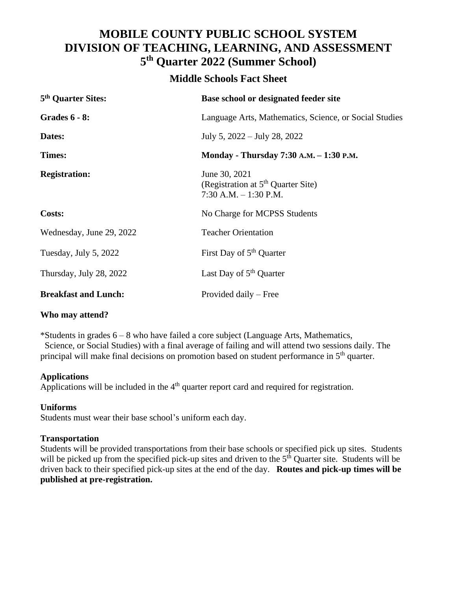### **Middle Schools Fact Sheet**

| 5 <sup>th</sup> Quarter Sites: | Base school or designated feeder site                                                       |
|--------------------------------|---------------------------------------------------------------------------------------------|
| <b>Grades 6 - 8:</b>           | Language Arts, Mathematics, Science, or Social Studies                                      |
| Dates:                         | July 5, $2022 -$ July 28, 2022                                                              |
| <b>Times:</b>                  | Monday - Thursday 7:30 A.M. – 1:30 P.M.                                                     |
| <b>Registration:</b>           | June 30, 2021<br>(Registration at 5 <sup>th</sup> Quarter Site)<br>$7:30$ A.M. $-1:30$ P.M. |
| Costs:                         | No Charge for MCPSS Students                                                                |
| Wednesday, June 29, 2022       | <b>Teacher Orientation</b>                                                                  |
| Tuesday, July 5, 2022          | First Day of 5 <sup>th</sup> Quarter                                                        |
| Thursday, July 28, 2022        | Last Day of $5th$ Quarter                                                                   |
| <b>Breakfast and Lunch:</b>    | Provided daily – Free                                                                       |

#### **Who may attend?**

\*Students in grades 6 – 8 who have failed a core subject (Language Arts, Mathematics, Science, or Social Studies) with a final average of failing and will attend two sessions daily. The principal will make final decisions on promotion based on student performance in 5<sup>th</sup> quarter.

#### **Applications**

Applications will be included in the  $4<sup>th</sup>$  quarter report card and required for registration.

#### **Uniforms**

Students must wear their base school's uniform each day.

#### **Transportation**

Students will be provided transportations from their base schools or specified pick up sites. Students will be picked up from the specified pick-up sites and driven to the  $5<sup>th</sup>$  Quarter site. Students will be driven back to their specified pick-up sites at the end of the day. **Routes and pick-up times will be published at pre-registration.**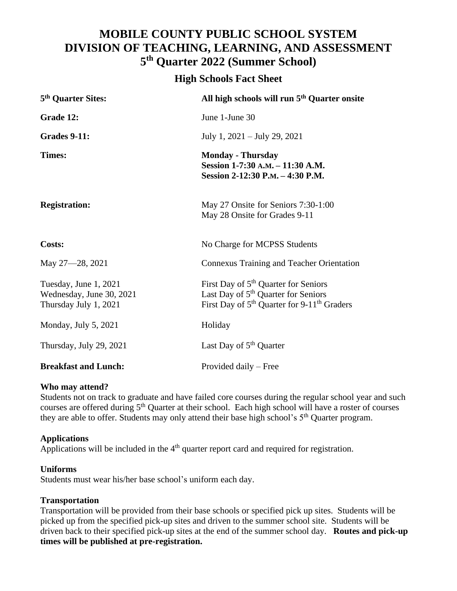### **High Schools Fact Sheet**

| 5 <sup>th</sup> Quarter Sites:                                             | All high schools will run 5 <sup>th</sup> Quarter onsite                                                                                                                   |
|----------------------------------------------------------------------------|----------------------------------------------------------------------------------------------------------------------------------------------------------------------------|
| Grade 12:                                                                  | June 1-June 30                                                                                                                                                             |
| <b>Grades 9-11:</b>                                                        | July 1, 2021 – July 29, 2021                                                                                                                                               |
| Times:                                                                     | <b>Monday - Thursday</b><br>Session 1-7:30 A.M. - 11:30 A.M.<br>Session 2-12:30 P.M. - 4:30 P.M.                                                                           |
| <b>Registration:</b>                                                       | May 27 Onsite for Seniors 7:30-1:00<br>May 28 Onsite for Grades 9-11                                                                                                       |
| <b>Costs:</b>                                                              | No Charge for MCPSS Students                                                                                                                                               |
| May 27-28, 2021                                                            | <b>Connexus Training and Teacher Orientation</b>                                                                                                                           |
| Tuesday, June 1, 2021<br>Wednesday, June 30, 2021<br>Thursday July 1, 2021 | First Day of 5 <sup>th</sup> Quarter for Seniors<br>Last Day of 5 <sup>th</sup> Quarter for Seniors<br>First Day of 5 <sup>th</sup> Quarter for 9-11 <sup>th</sup> Graders |
| Monday, July 5, 2021                                                       | Holiday                                                                                                                                                                    |
| Thursday, July 29, 2021                                                    | Last Day of $5th$ Quarter                                                                                                                                                  |
| <b>Breakfast and Lunch:</b>                                                | Provided daily – Free                                                                                                                                                      |

#### **Who may attend?**

Students not on track to graduate and have failed core courses during the regular school year and such courses are offered during 5<sup>th</sup> Quarter at their school. Each high school will have a roster of courses they are able to offer. Students may only attend their base high school's 5<sup>th</sup> Quarter program.

#### **Applications**

Applications will be included in the  $4<sup>th</sup>$  quarter report card and required for registration.

#### **Uniforms**

Students must wear his/her base school's uniform each day.

#### **Transportation**

Transportation will be provided from their base schools or specified pick up sites. Students will be picked up from the specified pick-up sites and driven to the summer school site. Students will be driven back to their specified pick-up sites at the end of the summer school day. **Routes and pick-up times will be published at pre-registration.**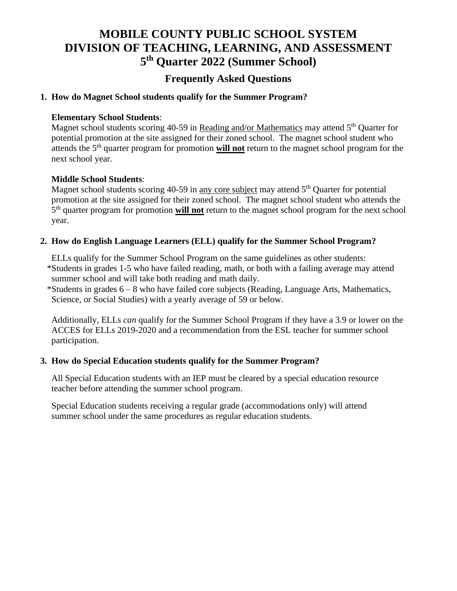### **Frequently Asked Questions**

#### **1. How do Magnet School students qualify for the Summer Program?**

#### **Elementary School Students**:

Magnet school students scoring 40-59 in Reading and/or Mathematics may attend 5<sup>th</sup> Quarter for potential promotion at the site assigned for their zoned school. The magnet school student who attends the 5<sup>th</sup> quarter program for promotion **will not** return to the magnet school program for the next school year.

#### **Middle School Students**:

Magnet school students scoring 40-59 in any core subject may attend 5<sup>th</sup> Quarter for potential promotion at the site assigned for their zoned school. The magnet school student who attends the 5<sup>th</sup> quarter program for promotion **will not** return to the magnet school program for the next school year.

#### **2. How do English Language Learners (ELL) qualify for the Summer School Program?**

 ELLs qualify for the Summer School Program on the same guidelines as other students: \*Students in grades 1-5 who have failed reading, math, or both with a failing average may attend summer school and will take both reading and math daily.

\*Students in grades  $6 - 8$  who have failed core subjects (Reading, Language Arts, Mathematics, Science, or Social Studies) with a yearly average of 59 or below.

 Additionally, ELLs *can* qualify for the Summer School Program if they have a 3.9 or lower on the ACCES for ELLs 2019-2020 and a recommendation from the ESL teacher for summer school participation.

#### **3. How do Special Education students qualify for the Summer Program?**

 All Special Education students with an IEP must be cleared by a special education resource teacher before attending the summer school program.

 Special Education students receiving a regular grade (accommodations only) will attend summer school under the same procedures as regular education students.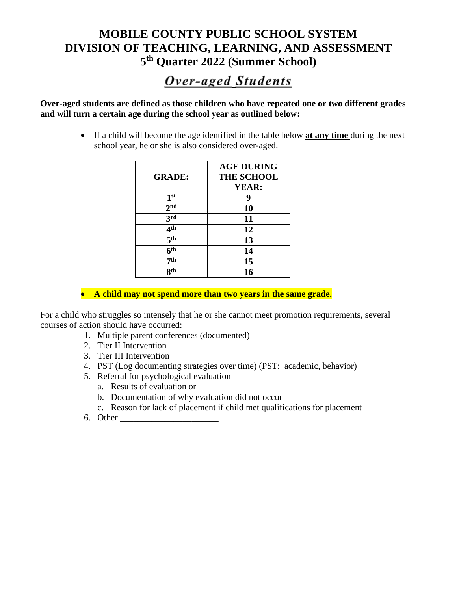# Over-aged Students

**Over-aged students are defined as those children who have repeated one or two different grades and will turn a certain age during the school year as outlined below:**

> • If a child will become the age identified in the table below **at any time** during the next school year, he or she is also considered over-aged.

| <b>GRADE:</b>   | <b>AGE DURING</b><br><b>THE SCHOOL</b> |
|-----------------|----------------------------------------|
|                 | YEAR:                                  |
| 1 <sup>st</sup> |                                        |
|                 |                                        |
| 2 <sub>nd</sub> | 10                                     |
| 3rd             | 11                                     |
| $\mathbf{4}$ th | 12                                     |
| 5 <sup>th</sup> | 13                                     |
| $6^{\rm th}$    | 14                                     |
| 7 <sup>th</sup> | 15                                     |
| Qth             | 16                                     |

#### • **A child may not spend more than two years in the same grade.**

For a child who struggles so intensely that he or she cannot meet promotion requirements, several courses of action should have occurred:

- 1. Multiple parent conferences (documented)
- 2. Tier II Intervention
- 3. Tier III Intervention
- 4. PST (Log documenting strategies over time) (PST: academic, behavior)
- 5. Referral for psychological evaluation
	- a. Results of evaluation or
	- b. Documentation of why evaluation did not occur
	- c. Reason for lack of placement if child met qualifications for placement
- 6. Other \_\_\_\_\_\_\_\_\_\_\_\_\_\_\_\_\_\_\_\_\_\_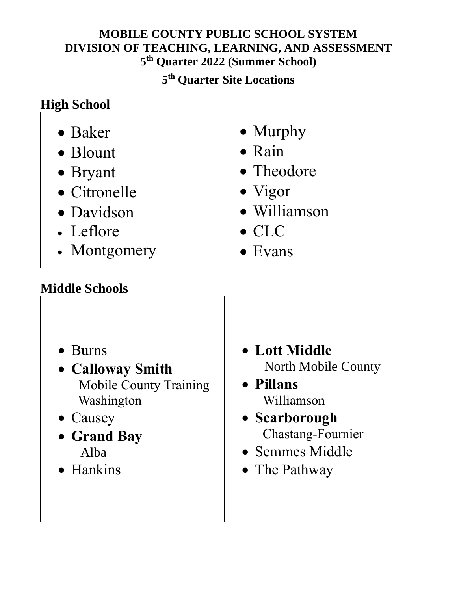# **5 th Quarter Site Locations**

 $\overline{\mathsf{T}}$ 

٦

# **High School**

| $\bullet$ Baker | • Murphy        |
|-----------------|-----------------|
| • Blount        | • Rain          |
| • Bryant        | • Theodore      |
| • Citronelle    | $\bullet$ Vigor |
| • Davidson      | · Williamson    |
| • Leflore       | $\bullet$ CLC   |
| • Montgomery    | $\bullet$ Evans |

# **Middle Schools**

| $\bullet$ Burns               | • Lott Middle              |
|-------------------------------|----------------------------|
| • Calloway Smith              | <b>North Mobile County</b> |
| <b>Mobile County Training</b> | • Pillans                  |
| Washington                    | Williamson                 |
| $\bullet$ Causey              | • Scarborough              |
| • Grand Bay                   | Chastang-Fournier          |
| Alba                          | $\bullet$ Semmes Middle    |
| $\bullet$ Hankins             | • The Pathway              |